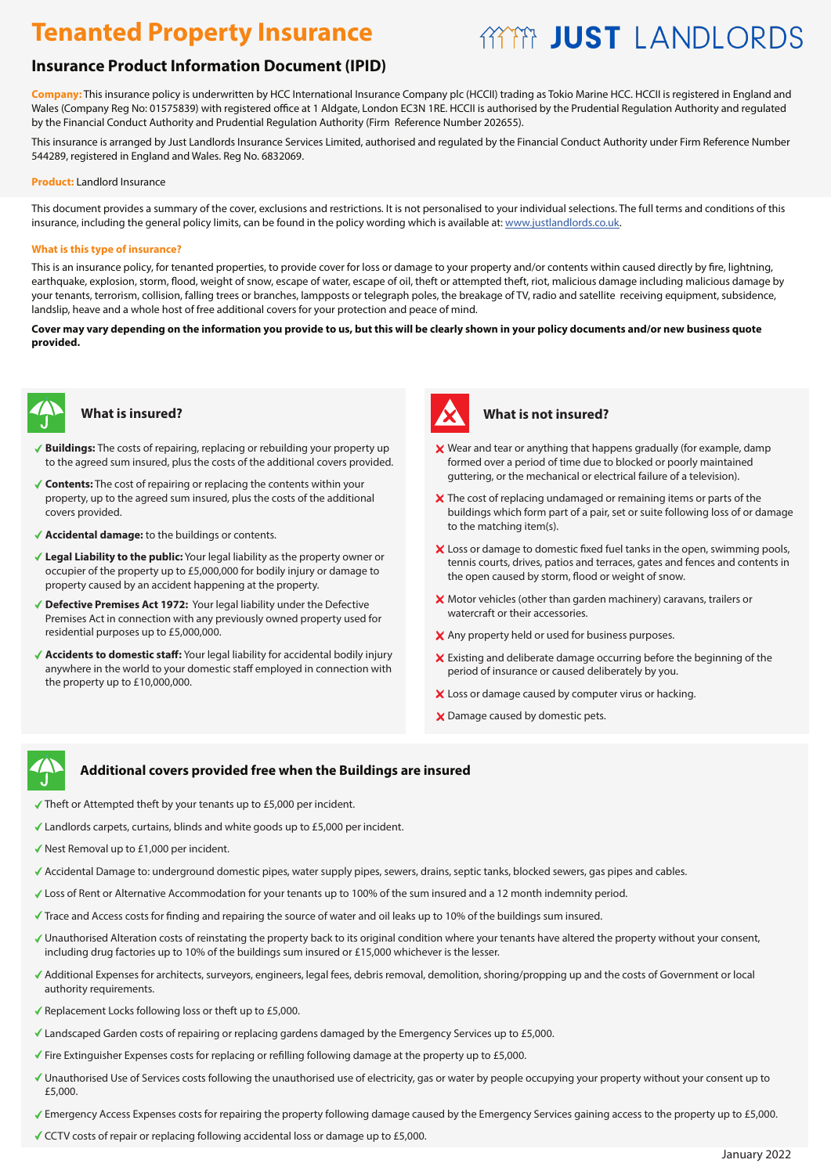# **AYYA JUST LANDI ORDS**

# **Insurance Product Information Document (IPID)**

**Company:** This insurance policy is underwritten by HCC International Insurance Company plc (HCCII) trading as Tokio Marine HCC. HCCII is registered in England and Wales (Company Reg No: 01575839) with registered office at 1 Aldgate, London EC3N 1RE. HCCII is authorised by the Prudential Regulation Authority and regulated by the Financial Conduct Authority and Prudential Regulation Authority (Firm Reference Number 202655).

This insurance is arranged by Just Landlords Insurance Services Limited, authorised and regulated by the Financial Conduct Authority under Firm Reference Number 544289, registered in England and Wales. Reg No. 6832069.

#### **Product:** Landlord Insurance

This document provides a summary of the cover, exclusions and restrictions. It is not personalised to your individual selections. The full terms and conditions of this insurance, including the general policy limits, can be found in the policy wording which is available at: www.justlandlords.co.uk.

#### **What is this type of insurance?**

This is an insurance policy, for tenanted properties, to provide cover for loss or damage to your property and/or contents within caused directly by fire, lightning, earthquake, explosion, storm, flood, weight of snow, escape of water, escape of oil, theft or attempted theft, riot, malicious damage including malicious damage by your tenants, terrorism, collision, falling trees or branches, lampposts or telegraph poles, the breakage of TV, radio and satellite receiving equipment, subsidence, landslip, heave and a whole host of free additional covers for your protection and peace of mind.

**Cover may vary depending on the information you provide to us, but this will be clearly shown in your policy documents and/or new business quote provided.**



### **What is insured?**

- **Buildings:** The costs of repairing, replacing or rebuilding your property up to the agreed sum insured, plus the costs of the additional covers provided.
- **Contents:** The cost of repairing or replacing the contents within your property, up to the agreed sum insured, plus the costs of the additional covers provided.
- **Accidental damage:** to the buildings or contents.
- **Legal Liability to the public:** Your legal liability as the property owner or occupier of the property up to £5,000,000 for bodily injury or damage to property caused by an accident happening at the property.
- **Defective Premises Act 1972:** Your legal liability under the Defective Premises Act in connection with any previously owned property used for residential purposes up to £5,000,000.
- **Accidents to domestic staff:** Your legal liability for accidental bodily injury anywhere in the world to your domestic staff employed in connection with the property up to £10,000,000.



### **What is not insured?**

- Wear and tear or anything that happens gradually (for example, damp formed over a period of time due to blocked or poorly maintained guttering, or the mechanical or electrical failure of a television).
- X The cost of replacing undamaged or remaining items or parts of the buildings which form part of a pair, set or suite following loss of or damage to the matching item(s).
- X Loss or damage to domestic fixed fuel tanks in the open, swimming pools, tennis courts, drives, patios and terraces, gates and fences and contents in the open caused by storm, flood or weight of snow.
- X Motor vehicles (other than garden machinery) caravans, trailers or watercraft or their accessories.
- X Any property held or used for business purposes.
- Existing and deliberate damage occurring before the beginning of the period of insurance or caused deliberately by you.
- X Loss or damage caused by computer virus or hacking.
- X Damage caused by domestic pets.

# 今

# **Additional covers provided free when the Buildings are insured covers provided free when the Buildings are insured**

- Theft or Attempted theft by your tenants up to £5,000 per incident.
- Landlords carpets, curtains, blinds and white goods up to £5,000 per incident. Landlords and white goods up per incident. Nest Removal up to per incident.
- $\checkmark$  Nest Removal up to £1,000 per incident.
- Accidental Damage to: underground domestic pipes, water supply pipes, sewers, drains, septic tanks, blocked sewers, gas pipes and cables.
- Accidental Damage to: underground domestic pipes, water supply pipes, sewers, drains, septic tanks, blocked sewers, gas pipes and cables.<br>Loss of Rent or Alternative Accommodation for your tenants up to 100% of the sum ins
- Trace and Access costs for finding and repairing the source of water and oil leaks up to 10% of the buildings sum insured.
- Unauthorised Alteration costs of reinstating the property back to its original condition where your tenants have altered the property without your consent, including drug factories up to 10% of the buildings sum insured or £15,000 whichever is the lesser.
- .<br>Additional Expenses for architects, surveyors, engineers, legal fees, debris removal, demolition, shoring/propping up and the costs of Government or local authority requirements. The ESS of ESS or the ESS or the ESS of the ESS of the ESS of the ESS of the ESS of the
- Replacement Locks following loss or theft up to £5,000. The Emergency Services up to £5,000.
- Landscaped Garden costs of repairing or replacing gardens damaged by the Emergency Services up to £5,000.
- Fire Extinguisher Expenses costs for replacing or refilling following damage at the property up to £5,000.
- Unauthorised Use of Services costs following the unauthorised use of electricity, gas or water by people occupying your property without your consent up to  $B_{\mu\nu}$  property will have the buildings section until the sale complete up to the sale complete up to the buildings sum insured. £5,000.
- Emergency Access Expenses costs for repairing the property following damage caused by the Emergency Services gaining access to the property up to £5,000
- CCTV costs of repair or replacing following accidental loss or damage up to £5,000.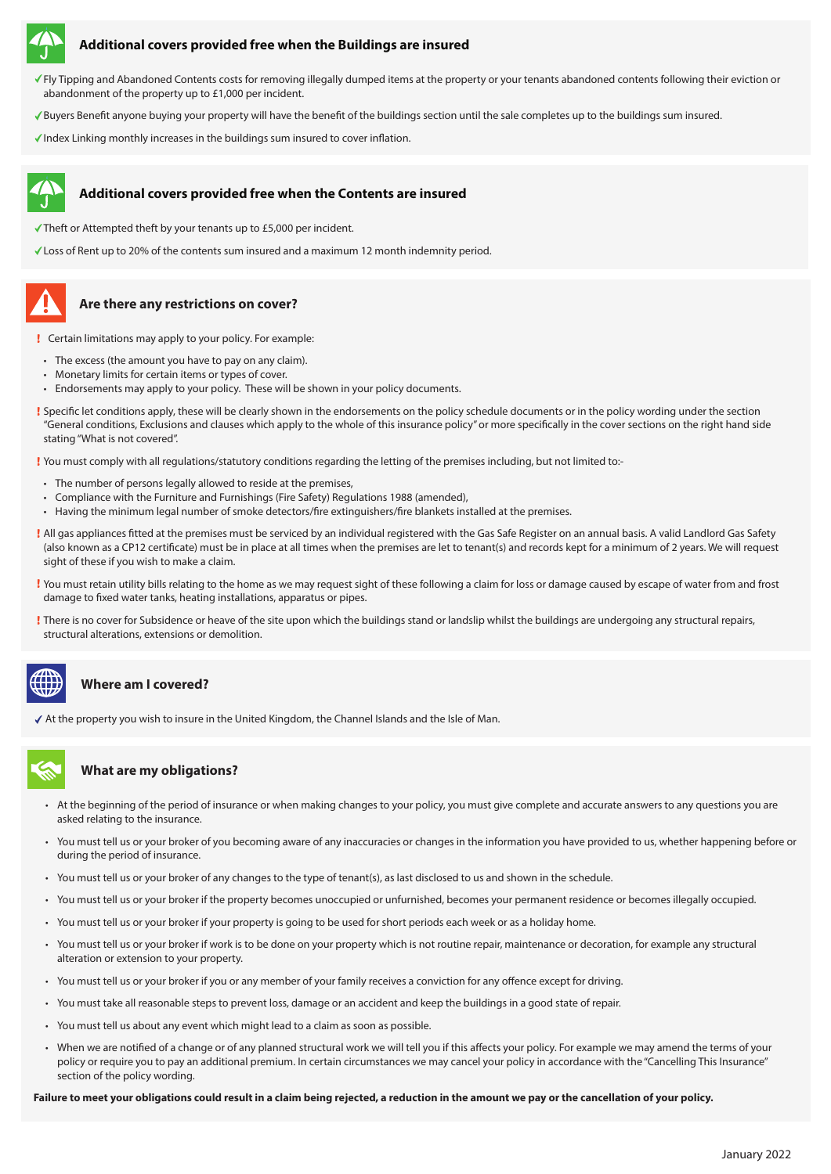

#### **Additional covers provided free when the Buildings are insured**

- Fly Tipping and Abandoned Contents costs for removing illegally dumped items at the property or your tenants abandoned contents following their eviction or abandonment of the property up to £1,000 per incident.
- Buyers Benefit anyone buying your property will have the benefit of the buildings section until the sale completes up to the buildings sum insured.
- $\checkmark$  Index Linking monthly increases in the buildings sum insured to cover inflation.

#### **Additional covers provided free when the Contents are insured**

- $\checkmark$  Theft or Attempted theft by your tenants up to £5,000 per incident.
- Loss of Rent up to 20% of the contents sum insured and a maximum 12 month indemnity period.

## **Are there any restrictions on cover?**

- Certain limitations may apply to your policy. For example:
- The excess (the amount you have to pay on any claim).
- Monetary limits for certain items or types of cover.
- Endorsements may apply to your policy. These will be shown in your policy documents.
- Specific let conditions apply, these will be clearly shown in the endorsements on the policy schedule documents or in the policy wording under the section "General conditions, Exclusions and clauses which apply to the whole of this insurance policy" or more specifically in the cover sections on the right hand side stating "What is not covered".

You must comply with all regulations/statutory conditions regarding the letting of the premises including, but not limited to:-

- The number of persons legally allowed to reside at the premises,
- Compliance with the Furniture and Furnishings (Fire Safety) Regulations 1988 (amended),
- Having the minimum legal number of smoke detectors/fire extinguishers/fire blankets installed at the premises.
- All gas appliances fitted at the premises must be serviced by an individual registered with the Gas Safe Register on an annual basis. A valid Landlord Gas Safety (also known as a CP12 certificate) must be in place at all times when the premises are let to tenant(s) and records kept for a minimum of 2 years. We will request sight of these if you wish to make a claim.
- You must retain utility bills relating to the home as we may request sight of these following a claim for loss or damage caused by escape of water from and frost damage to fixed water tanks, heating installations, apparatus or pipes.
- There is no cover for Subsidence or heave of the site upon which the buildings stand or landslip whilst the buildings are undergoing any structural repairs, structural alterations, extensions or demolition.

#### **Where am I covered?**

At the property you wish to insure in the United Kingdom, the Channel Islands and the Isle of Man.

### **What are my obligations?**

- At the beginning of the period of insurance or when making changes to your policy, you must give complete and accurate answers to any questions you are asked relating to the insurance.
- You must tell us or your broker of you becoming aware of any inaccuracies or changes in the information you have provided to us, whether happening before or during the period of insurance.
- You must tell us or your broker of any changes to the type of tenant(s), as last disclosed to us and shown in the schedule.
- You must tell us or your broker if the property becomes unoccupied or unfurnished, becomes your permanent residence or becomes illegally occupied.
- You must tell us or your broker if your property is going to be used for short periods each week or as a holiday home.
- You must tell us or your broker if work is to be done on your property which is not routine repair, maintenance or decoration, for example any structural alteration or extension to your property.
- You must tell us or your broker if you or any member of your family receives a conviction for any offence except for driving.
- You must take all reasonable steps to prevent loss, damage or an accident and keep the buildings in a good state of repair.
- You must tell us about any event which might lead to a claim as soon as possible.
- When we are notified of a change or of any planned structural work we will tell you if this affects your policy. For example we may amend the terms of your policy or require you to pay an additional premium. In certain circumstances we may cancel your policy in accordance with the "Cancelling This Insurance" section of the policy wording.

**Failure to meet your obligations could result in a claim being rejected, a reduction in the amount we pay or the cancellation of your policy.**